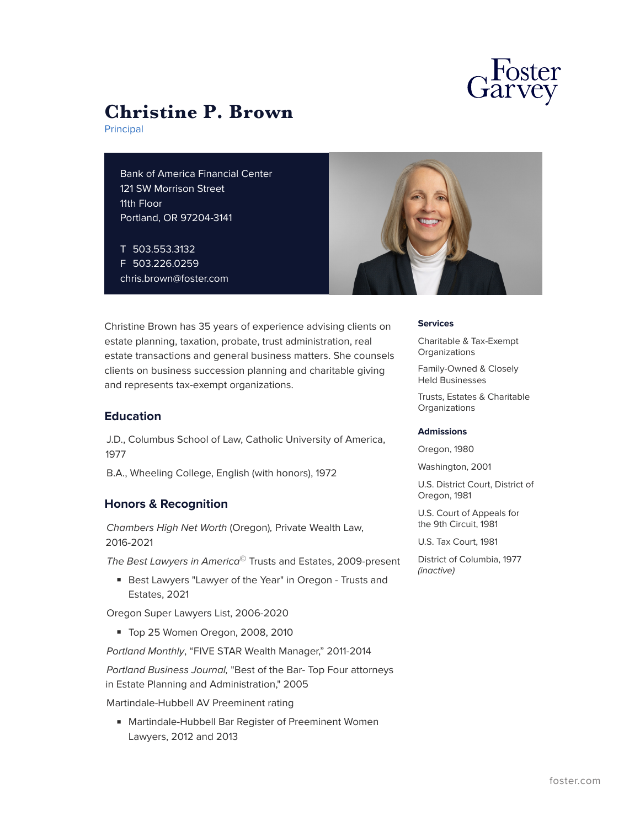

# **Christine P. Brown**

Principal

Bank of America Financial Center 121 SW Morrison Street 11th Floor Portland, OR 97204-3141

T 503.553.3132 F 503.226.0259 chris.brown@foster.com



Christine Brown has 35 years of experience advising clients on estate planning, taxation, probate, trust administration, real estate transactions and general business matters. She counsels clients on business succession planning and charitable giving and represents tax-exempt organizations.

# **Education**

J.D., Columbus School of Law, Catholic University of America, 1977

B.A., Wheeling College, English (with honors), 1972

# **Honors & Recognition**

*Chambers High Net Worth* (Oregon)*,* Private Wealth Law, 2016-2021

*The Best Lawyers in America*© Trusts and Estates, 2009-present

■ Best Lawyers "Lawyer of the Year" in Oregon - Trusts and Estates, 2021

Oregon Super Lawyers List, 2006-2020

■ Top 25 Women Oregon, 2008, 2010

*Portland Monthly*, "FIVE STAR Wealth Manager," 2011-2014

*Portland Business Journal,* "Best of the Bar- Top Four attorneys in Estate Planning and Administration," 2005

Martindale-Hubbell AV Preeminent rating

■ Martindale-Hubbell Bar Register of Preeminent Women Lawyers, 2012 and 2013

#### **Services**

Charitable & Tax-Exempt **Organizations** 

Family-Owned & Closely Held Businesses

Trusts, Estates & Charitable **Organizations** 

#### **Admissions**

Oregon, 1980

Washington, 2001

U.S. District Court, District of Oregon, 1981

U.S. Court of Appeals for the 9th Circuit, 1981

U.S. Tax Court, 1981

District of Columbia, 1977 *(inactive)*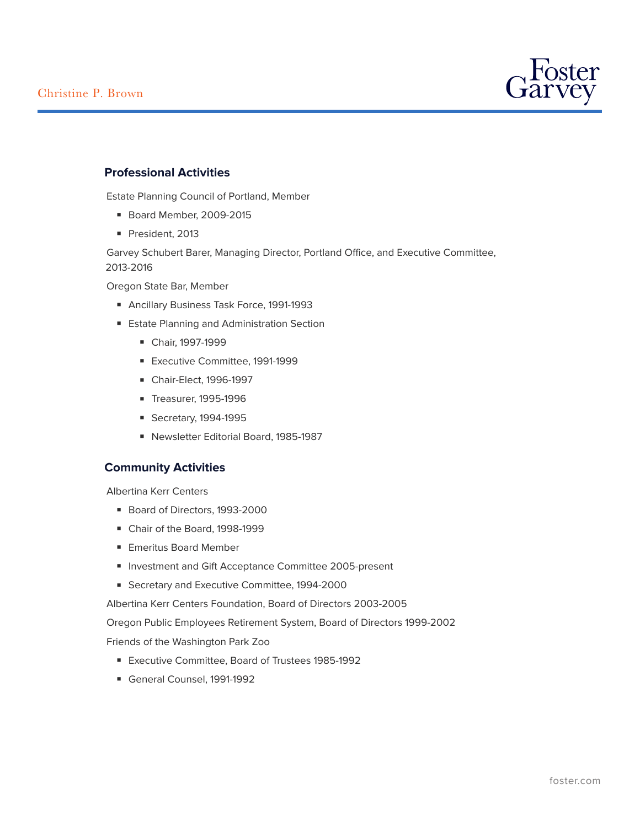

# **Professional Activities**

Estate Planning Council of Portland, Member

- Board Member, 2009-2015
- President, 2013

Garvey Schubert Barer, Managing Director, Portland Office, and Executive Committee, 2013-2016

Oregon State Bar, Member

- Ancillary Business Task Force, 1991-1993
- Estate Planning and Administration Section
	- Chair, 1997-1999
	- Executive Committee, 1991-1999
	- Chair-Elect, 1996-1997
	- Treasurer, 1995-1996
	- Secretary, 1994-1995
	- Newsletter Editorial Board, 1985-1987

## **Community Activities**

Albertina Kerr Centers

- Board of Directors, 1993-2000
- Chair of the Board, 1998-1999
- Emeritus Board Member
- Investment and Gift Acceptance Committee 2005-present
- Secretary and Executive Committee, 1994-2000

Albertina Kerr Centers Foundation, Board of Directors 2003-2005

Oregon Public Employees Retirement System, Board of Directors 1999-2002

Friends of the Washington Park Zoo

- Executive Committee, Board of Trustees 1985-1992
- General Counsel, 1991-1992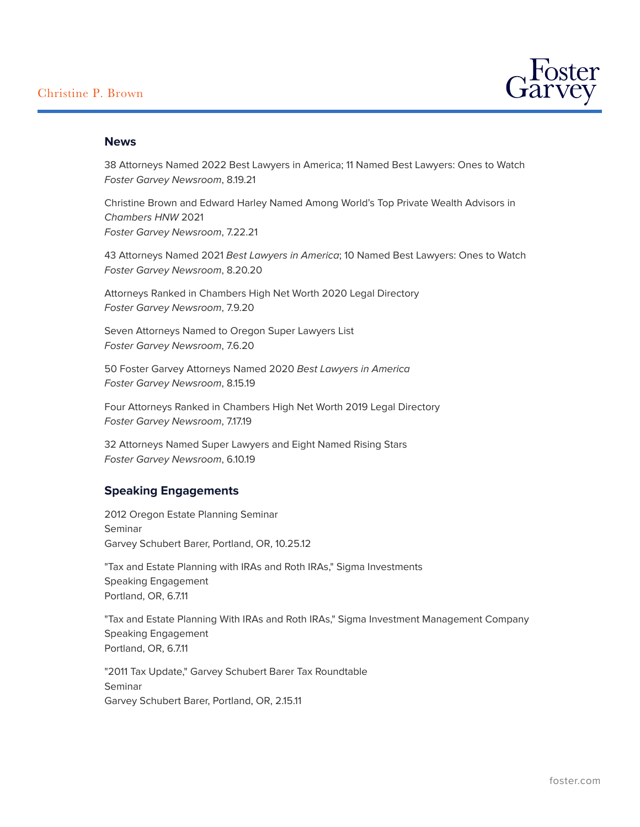

### **News**

38 Attorneys Named 2022 Best Lawyers in America; 11 Named Best Lawyers: Ones to Watch *Foster Garvey Newsroom*, 8.19.21

Christine Brown and Edward Harley Named Among World's Top Private Wealth Advisors in *Chambers HNW* 2021 *Foster Garvey Newsroom*, 7.22.21

43 Attorneys Named 2021 *Best Lawyers in America*; 10 Named Best Lawyers: Ones to Watch *Foster Garvey Newsroom*, 8.20.20

Attorneys Ranked in Chambers High Net Worth 2020 Legal Directory *Foster Garvey Newsroom*, 7.9.20

Seven Attorneys Named to Oregon Super Lawyers List *Foster Garvey Newsroom*, 7.6.20

50 Foster Garvey Attorneys Named 2020 *Best Lawyers in America Foster Garvey Newsroom*, 8.15.19

Four Attorneys Ranked in Chambers High Net Worth 2019 Legal Directory *Foster Garvey Newsroom*, 7.17.19

32 Attorneys Named Super Lawyers and Eight Named Rising Stars *Foster Garvey Newsroom*, 6.10.19

# **Speaking Engagements**

2012 Oregon Estate Planning Seminar Seminar Garvey Schubert Barer, Portland, OR, 10.25.12

"Tax and Estate Planning with IRAs and Roth IRAs," Sigma Investments Speaking Engagement Portland, OR, 6.7.11

"Tax and Estate Planning With IRAs and Roth IRAs," Sigma Investment Management Company Speaking Engagement Portland, OR, 6.7.11

"2011 Tax Update," Garvey Schubert Barer Tax Roundtable Seminar Garvey Schubert Barer, Portland, OR, 2.15.11